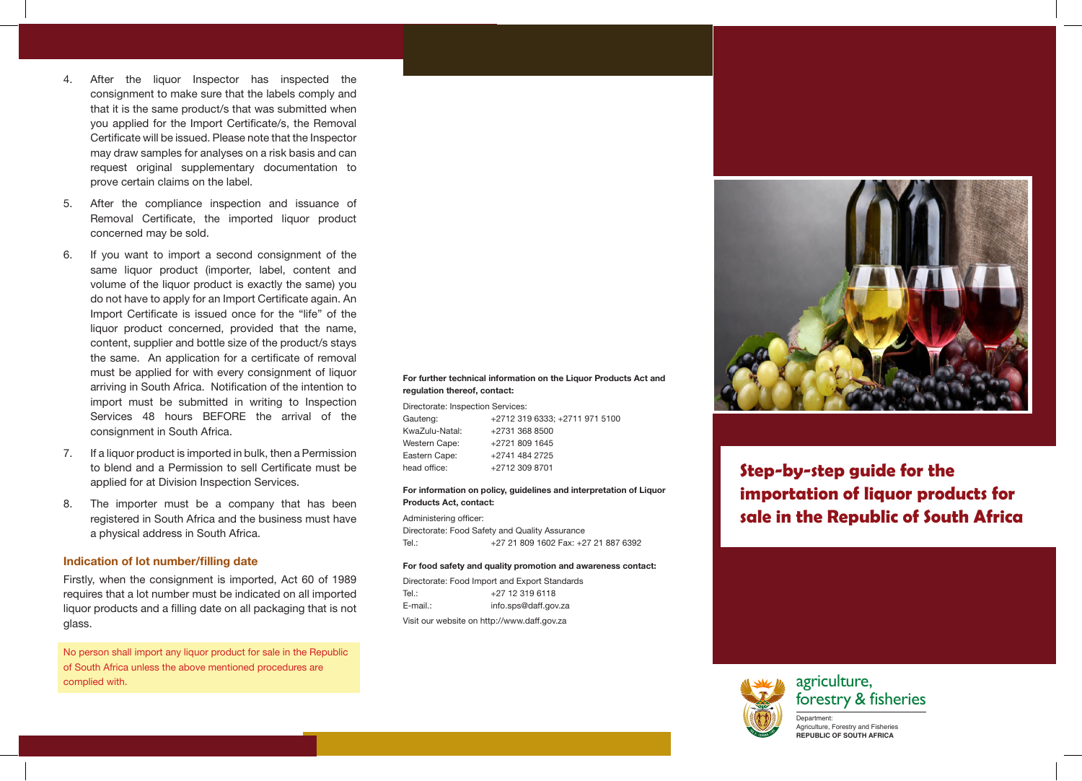- 4. After the liquor Inspector has inspected the consignment to make sure that the labels comply and that it is the same product/s that was submitted when you applied for the Import Certificate/s, the Removal Certificate will be issued. Please note that the Inspector may draw samples for analyses on a risk basis and can request original supplementary documentation to prove certain claims on the label.
- 5. After the compliance inspection and issuance of Removal Certificate, the imported liquor product concerned may be sold.
- 6. If you want to import a second consignment of the same liquor product (importer, label, content and volume of the liquor product is exactly the same) you do not have to apply for an Import Certificate again. An Import Certificate is issued once for the "life" of the liquor product concerned, provided that the name, content, supplier and bottle size of the product/s stays the same. An application for a certificate of removal must be applied for with every consignment of liquor arriving in South Africa. Notification of the intention to import must be submitted in writing to Inspection Services 48 hours BEFORE the arrival of the consignment in South Africa.
- 7. If a liquor product is imported in bulk, then a Permission to blend and a Permission to sell Certificate must be applied for at Division Inspection Services.
- 8. The importer must be a company that has been registered in South Africa and the business must have a physical address in South Africa.

### Indication of lot number/filling date

Firstly, when the consignment is imported, Act 60 of 1989 requires that a lot number must be indicated on all imported liquor products and a filling date on all packaging that is not glass.

No person shall import any liquor product for sale in the Republic of South Africa unless the above mentioned procedures are complied with.

#### For further technical information on the Liquor Products Act and regulation thereof, contact:

Directorate: Inspection Services: Gauteng: +2712 319 6333: +2711 971 5100 KwaZulu-Natal: +2731 368 8500 Western Cape: +2721 809 1645 Eastern Cape: +2741 484 2725 head office: +2712 309 8701

#### For information on policy, guidelines and interpretation of Liquor Products Act, contact:

Administering officer: Directorate: Food Safety and Quality Assurance Tel.: +27 21 809 1602 Fax: +27 21 887 6392

#### For food safety and quality promotion and awareness contact:

Directorate: Food Import and Export Standards Tel.: +27 12 319 6118 E-mail.: info.sps@daff.gov.za Visit our website on http://www.daff.gov.za

**Step-by-step guide for the importation of liquor products for sale in the Republic of South Africa**